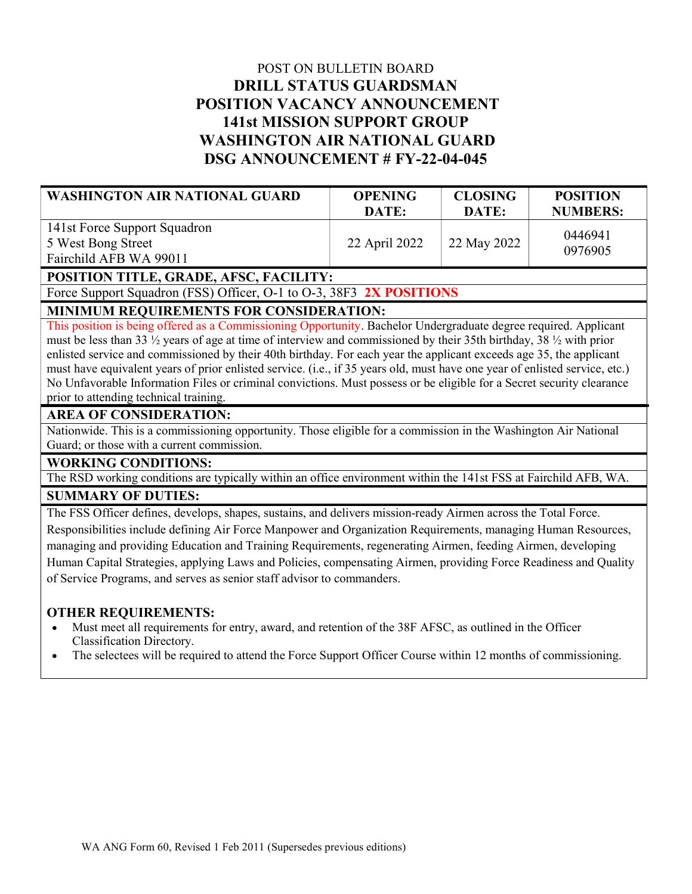# POST ON BULLETIN BOARD DRILL STATUS GUARDSMAN POSITION VACANCY ANNOUNCEMENT 141st MISSION SUPPORT GROUP WASHINGTON AIR NATIONAL GUARD DSG ANNOUNCEMENT # FY-22-04-045

| WASHINGTON AIR NATIONAL GUARD | <b>OPENING</b><br>DATE: | <b>CLOSING</b><br>DATE: | <b>POSITION</b><br><b>NUMBERS:</b> |
|-------------------------------|-------------------------|-------------------------|------------------------------------|
| 141st Force Support Squadron  |                         |                         | 0446941                            |
| 5 West Bong Street            | 22 April 2022           | 22 May 2022             | 0976905                            |
| Fairchild AFB WA 99011        |                         |                         |                                    |

POSITION TITLE, GRADE, AFSC, FACILITY:

Force Support Squadron (FSS) Officer, O-1 to O-3, 38F3 2X POSITIONS

## MINIMUM REQUIREMENTS FOR CONSIDERATION:

This position is being offered as a Commissioning Opportunity. Bachelor Undergraduate degree required. Applicant must be less than 33 ½ years of age at time of interview and commissioned by their 35th birthday, 38 ½ with prior enlisted service and commissioned by their 40th birthday. For each year the applicant exceeds age 35, the applicant must have equivalent years of prior enlisted service. (i.e., if 35 years old, must have one year of enlisted service, etc.) No Unfavorable Information Files or criminal convictions. Must possess or be eligible for a Secret security clearance prior to attending technical training.

## AREA OF CONSIDERATION:

Nationwide. This is a commissioning opportunity. Those eligible for a commission in the Washington Air National Guard; or those with a current commission.

#### WORKING CONDITIONS:

The RSD working conditions are typically within an office environment within the 141st FSS at Fairchild AFB, WA.

## SUMMARY OF DUTIES:

The FSS Officer defines, develops, shapes, sustains, and delivers mission-ready Airmen across the Total Force. Responsibilities include defining Air Force Manpower and Organization Requirements, managing Human Resources, managing and providing Education and Training Requirements, regenerating Airmen, feeding Airmen, developing Human Capital Strategies, applying Laws and Policies, compensating Airmen, providing Force Readiness and Quality of Service Programs, and serves as senior staff advisor to commanders.

#### OTHER REQUIREMENTS:

- Must meet all requirements for entry, award, and retention of the 38F AFSC, as outlined in the Officer Classification Directory.
- The selectees will be required to attend the Force Support Officer Course within 12 months of commissioning.